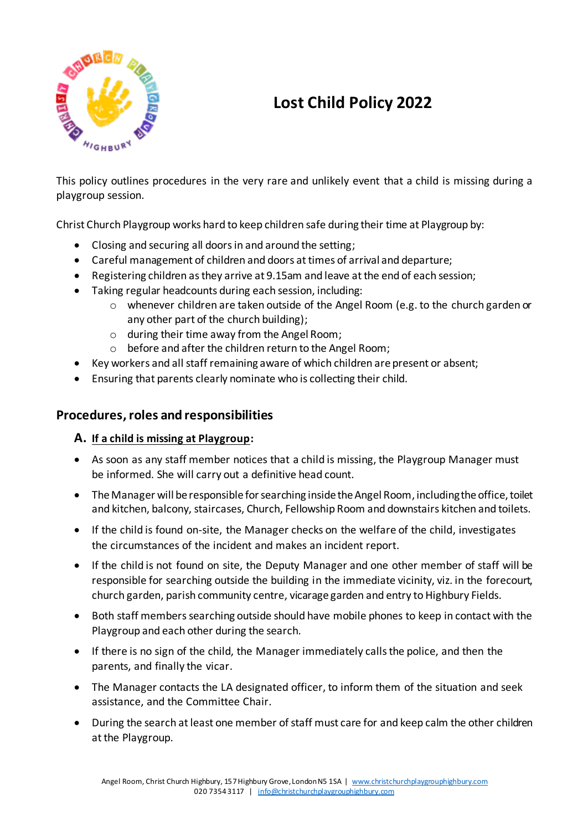

# **Lost Child Policy 2022**

This policy outlines procedures in the very rare and unlikely event that a child is missing during a playgroup session.

Christ Church Playgroup works hard to keep children safe during their time at Playgroup by:

- Closing and securing all doors in and around the setting;
- Careful management of children and doors at times of arrival and departure;
- Registering children as they arrive at 9.15am and leave at the end of each session;
- Taking regular headcounts during each session, including:
	- $\circ$  whenever children are taken outside of the Angel Room (e.g. to the church garden or any other part of the church building);
	- o during their time away from the Angel Room;
	- o before and after the children return to the Angel Room;
- Key workers and all staff remaining aware of which children are present or absent;
- Ensuring that parents clearly nominate who is collecting their child.

## **Procedures,roles and responsibilities**

### **A. If a child is missing at Playgroup:**

- As soon as any staff member notices that a child is missing, the Playgroup Manager must be informed. She will carry out a definitive head count.
- The Manager will be responsible for searching inside the Angel Room, including the office, toilet and kitchen, balcony, staircases, Church, Fellowship Room and downstairs kitchen and toilets.
- If the child is found on-site, the Manager checks on the welfare of the child, investigates the circumstances of the incident and makes an incident report.
- If the child is not found on site, the Deputy Manager and one other member of staff will be responsible for searching outside the building in the immediate vicinity, viz. in the forecourt, church garden, parish community centre, vicarage garden and entry to Highbury Fields.
- Both staff members searching outside should have mobile phones to keep in contact with the Playgroup and each other during the search.
- If there is no sign of the child, the Manager immediately calls the police, and then the parents, and finally the vicar.
- The Manager contacts the LA designated officer, to inform them of the situation and seek assistance, and the Committee Chair.
- During the search at least one member of staff must care for and keep calm the other children at the Playgroup.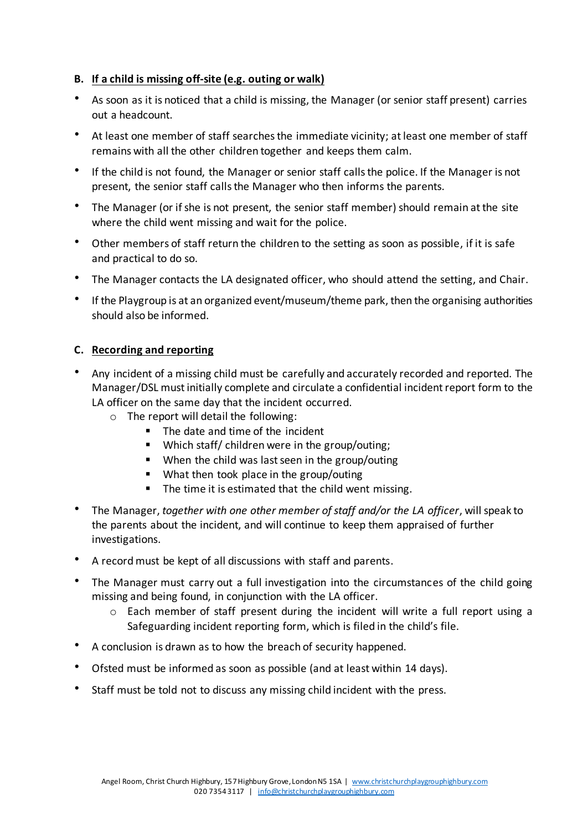#### **B. If a child is missing off-site (e.g. outing or walk)**

- As soon as it is noticed that a child is missing, the Manager (or senior staff present) carries out a headcount.
- At least one member of staff searches the immediate vicinity; at least one member of staff remains with all the other children together and keeps them calm.
- If the child is not found, the Manager or senior staff calls the police. If the Manager is not present, the senior staff calls the Manager who then informs the parents.
- The Manager (or if she is not present, the senior staff member) should remain at the site where the child went missing and wait for the police.
- Other members of staff return the children to the setting as soon as possible, if it is safe and practical to do so.
- The Manager contacts the LA designated officer, who should attend the setting, and Chair.
- If the Playgroup is at an organized event/museum/theme park, then the organising authorities should also be informed.

#### **C. Recording and reporting**

- Any incident of a missing child must be carefully and accurately recorded and reported. The Manager/DSL must initially complete and circulate a confidential incident report form to the LA officer on the same day that the incident occurred.
	- o The report will detail the following:
		- The date and time of the incident
		- Which staff/ children were in the group/outing;
		- When the child was last seen in the group/outing
		- What then took place in the group/outing
		- The time it is estimated that the child went missing.
- The Manager, *together with one other member of staff and/or the LA officer*, will speak to the parents about the incident, and will continue to keep them appraised of further investigations.
- A record must be kept of all discussions with staff and parents.
- The Manager must carry out a full investigation into the circumstances of the child going missing and being found, in conjunction with the LA officer.
	- o Each member of staff present during the incident will write a full report using a Safeguarding incident reporting form, which is filed in the child's file.
- A conclusion is drawn as to how the breach of security happened.
- Ofsted must be informed as soon as possible (and at least within 14 days).
- Staff must be told not to discuss any missing child incident with the press.